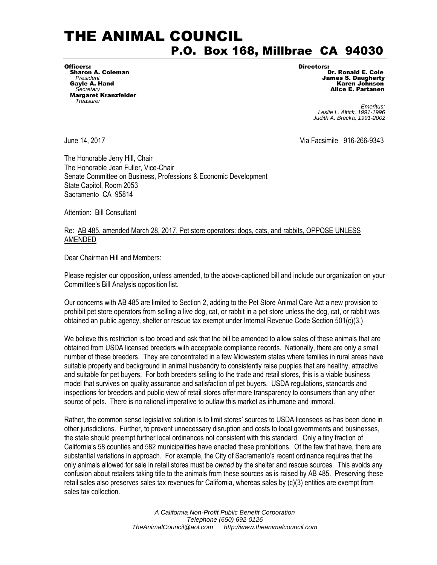## THE ANIMAL COUNCIL P.O. Box 168, Millbrae CA 94030

Officers: Directors: Sharon A. Coleman Secretary<br>**Margaret Kranzfelder**<br>Treasurer

**President James S. Daugherty** Gayle A. Hand **Gayle A. Hand Secretary** Control of the Control of the Control of the Control of the Control of the<br>Secretary **Alice E. Partanen** 

**Find the Superior Contract of the Contract of Contract of Contract of Contract of Contract of Contract of Contract of Contract of Contract of Contract of Contract of Contract of Contract of Contract of Contract of Contrac**  *Leslie L. Altick, 1991-1996 Judith A. Brecka, 1991-2002* 

June 14, 2017 Via Facsimile 916-266-9343

The Honorable Jerry Hill, Chair The Honorable Jean Fuller, Vice-Chair Senate Committee on Business, Professions & Economic Development State Capitol, Room 2053 Sacramento CA 95814

Attention: Bill Consultant

## Re: AB 485, amended March 28, 2017, Pet store operators: dogs, cats, and rabbits, OPPOSE UNLESS AMENDED

Dear Chairman Hill and Members:

Please register our opposition, unless amended, to the above-captioned bill and include our organization on your Committee's Bill Analysis opposition list.

Our concerns with AB 485 are limited to Section 2, adding to the Pet Store Animal Care Act a new provision to prohibit pet store operators from selling a live dog, cat, or rabbit in a pet store unless the dog, cat, or rabbit was obtained an public agency, shelter or rescue tax exempt under Internal Revenue Code Section 501(c)(3.)

We believe this restriction is too broad and ask that the bill be amended to allow sales of these animals that are obtained from USDA licensed breeders with acceptable compliance records. Nationally, there are only a small number of these breeders. They are concentrated in a few Midwestern states where families in rural areas have suitable property and background in animal husbandry to consistently raise puppies that are healthy, attractive and suitable for pet buyers. For both breeders selling to the trade and retail stores, this is a viable business model that survives on quality assurance and satisfaction of pet buyers. USDA regulations, standards and inspections for breeders and public view of retail stores offer more transparency to consumers than any other source of pets. There is no rational imperative to outlaw this market as inhumane and immoral.

Rather, the common sense legislative solution is to limit stores' sources to USDA licensees as has been done in other jurisdictions. Further, to prevent unnecessary disruption and costs to local governments and businesses, the state should preempt further local ordinances not consistent with this standard. Only a tiny fraction of California's 58 counties and 582 municipalities have enacted these prohibitions. Of the few that have, there are substantial variations in approach. For example, the City of Sacramento's recent ordinance requires that the only animals allowed for sale in retail stores must be *owned* by the shelter and rescue sources. This avoids any confusion about retailers taking title to the animals from these sources as is raised by AB 485. Preserving these retail sales also preserves sales tax revenues for California, whereas sales by (c)(3) entities are exempt from sales tax collection.

> *A California Non-Profit Public Benefit Corporation Telephone (650) 692-0126 [TheAnimalCouncil@aol.com](mailto:TheAnimalCouncil@aol.com) http://www.theanimalcouncil.com*